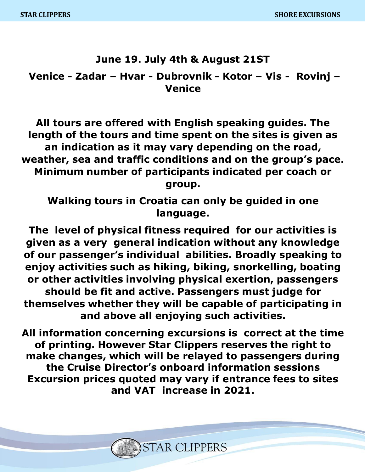# **June 19. July 4th & August 21ST**

**Venice - Zadar – Hvar - Dubrovnik - Kotor – Vis - Rovinj – Venice**

**All tours are offered with English speaking guides. The length of the tours and time spent on the sites is given as an indication as it may vary depending on the road, weather, sea and traffic conditions and on the group's pace. Minimum number of participants indicated per coach or group.** 

**Walking tours in Croatia can only be guided in one language.**

**The level of physical fitness required for our activities is given as a very general indication without any knowledge of our passenger's individual abilities. Broadly speaking to enjoy activities such as hiking, biking, snorkelling, boating or other activities involving physical exertion, passengers should be fit and active. Passengers must judge for themselves whether they will be capable of participating in and above all enjoying such activities.**

**All information concerning excursions is correct at the time of printing. However Star Clippers reserves the right to make changes, which will be relayed to passengers during the Cruise Director's onboard information sessions Excursion prices quoted may vary if entrance fees to sites and VAT increase in 2021.**

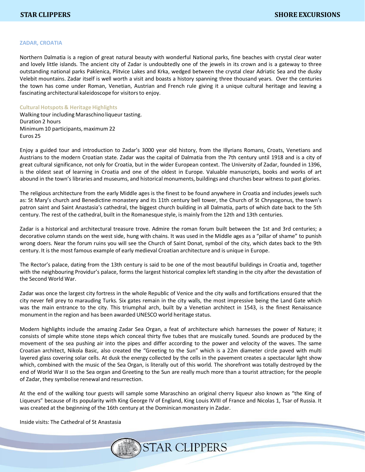#### **ZADAR, CROATIA**

Northern Dalmatia is a region of great natural beauty with wonderful National parks, fine beaches with crystal clear water and lovely little islands. The ancient city of Zadar is undoubtedly one of the jewels in its crown and is a gateway to three outstanding national parks Paklenica, Plitvice Lakes and Krka, wedged between the crystal clear Adriatic Sea and the dusky Velebit mountains. Zadar itself is well worth a visit and boasts a history spanning three thousand years. Over the centuries the town has come under Roman, Venetian, Austrian and French rule giving it a unique cultural heritage and leaving a fascinating architectural kaleidoscope for visitorsto enjoy.

#### **Cultural Hotspots & Heritage Highlights**

Walking tour including Maraschino liqueur tasting. Duration 2 hours Minimum10 participants, maximum 22 Euros 25

Enjoy a guided tour and introduction to Zadar's 3000 year old history, from the Illyrians Romans, Croats, Venetians and Austrians to the modern Croatian state. Zadar was the capital of Dalmatia from the 7th century until 1918 and is a city of great cultural significance, not only for Croatia, but in the wider European context. The University of Zadar, founded in 1396, is the oldest seat of learning in Croatia and one of the oldest in Europe. Valuable manuscripts, books and works of art abound in the town's libraries and museums, and historical monuments, buildings and churches bear witness to past glories.

The religious architecture from the early Middle ages is the finest to be found anywhere in Croatia and includes jewels such as: St Mary's church and Benedictine monastery and its 11th century bell tower, the Church of St Chrysogonus, the town's patron saint and Saint Anastasia's cathedral, the biggest church building in all Dalmatia, parts of which date back to the 5th century. The rest of the cathedral, built in the Romanesque style, is mainly from the 12th and 13th centuries.

Zadar is a historical and architectural treasure trove. Admire the roman forum built between the 1st and 3rd centuries; a decorative column stands on the west side, hung with chains. It was used in the Middle ages as a "pillar of shame" to punish wrong doers. Near the forum ruins you will see the Church of Saint Donat, symbol of the city, which dates back to the 9th century. It is the most famous example of early medieval Croatian architecture and is unique in Europe.

The Rector's palace, dating from the 13th century is said to be one of the most beautiful buildings in Croatia and, together with the neighbouring Providur's palace, forms the largest historical complex left standing in the city after the devastation of the Second World War.

Zadar was once the largest city fortress in the whole Republic of Venice and the city walls and fortifications ensured that the city never fell prey to marauding Turks. Six gates remain in the city walls, the most impressive being the Land Gate which was the main entrance to the city. This triumphal arch, built by a Venetian architect in 1543, is the finest Renaissance monument in the region and has been awarded UNESCO world heritage status.

Modern highlights include the amazing Zadar Sea Organ, a feat of architecture which harnesses the power of Nature; it consists of simple white stone steps which conceal thirty five tubes that are musically tuned. Sounds are produced by the movement of the sea pushing air into the pipes and differ according to the power and velocity of the waves. The same Croatian architect, Nikola Basic, also created the "Greeting to the Sun" which is a 22m diameter circle paved with multi layered glass covering solar cells. At dusk the energy collected by the cells in the pavement creates a spectacular light show which, combined with the music of the Sea Organ, is literally out of this world. The shorefront was totally destroyed by the end of World War II so the Sea organ and Greeting to the Sun are really much more than a tourist attraction; for the people of Zadar, they symbolise renewal and resurrection.

At the end of the walking tour guests will sample some Maraschino an original cherry liqueur also known as "the King of Liqueurs" because of its popularity with King George IV of England, King Louis XVIII of France and Nicolas 1, Tsar of Russia. It was created at the beginning of the 16th century at the Dominican monastery in Zadar.

Inside visits: The Cathedral of St Anastasia

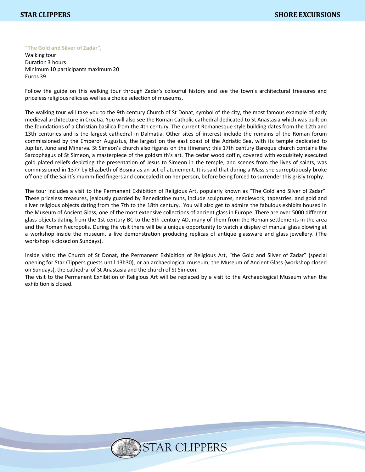**"The Gold and Silver of Zadar",**

Walking tour Duration 3 hours Minimum 10 participants maximum 20 Euros 39

Follow the guide on this walking tour through Zadar's colourful history and see the town's architectural treasures and priceless religious relics as well as a choice selection of museums.

The walking tour will take you to the 9th century Church of St Donat, symbol of the city, the most famous example of early medieval architecture in Croatia. You will also see the Roman Catholic cathedral dedicated to St Anastasia which was built on the foundations of a Christian basilica from the 4th century. The current Romanesque style building dates from the 12th and 13th centuries and is the largest cathedral in Dalmatia. Other sites of interest include the remains of the Roman forum commissioned by the Emperor Augustus, the largest on the east coast of the Adriatic Sea, with its temple dedicated to Jupiter, Juno and Minerva. St Simeon's church also figures on the itinerary; this 17th century Baroque church contains the Sarcophagus of St Simeon, a masterpiece of the goldsmith's art. The cedar wood coffin, covered with exquisitely executed gold plated reliefs depicting the presentation of Jesus to Simeon in the temple, and scenes from the lives of saints, was commissioned in 1377 by Elizabeth of Bosnia as an act of atonement. It is said that during a Mass she surreptitiously broke off one of the Saint's mummified fingers and concealed it on her person, before being forced to surrender this grisly trophy.

The tour includes a visit to the Permanent Exhibition of Religious Art, popularly known as "The Gold and Silver of Zadar". These priceless treasures, jealously guarded by Benedictine nuns, include sculptures, needlework, tapestries, and gold and silver religious objects dating from the 7th to the 18th century. You will also get to admire the fabulous exhibits housed in the Museum of Ancient Glass, one of the most extensive collections of ancient glass in Europe. There are over 5000 different glass objects dating from the 1st century BC to the 5th century AD, many of them from the Roman settlements in the area and the Roman Necropolis. During the visit there will be a unique opportunity to watch a display of manual glass blowing at a workshop inside the museum, a live demonstration producing replicas of antique glassware and glass jewellery. (The workshop is closed on Sundays).

Inside visits: the Church of St Donat, the Permanent Exhibition of Religious Art, "the Gold and Silver of Zadar" (special opening for Star Clippers guests until 13h30), or an archaeological museum, the Museum of Ancient Glass (workshop closed on Sundays), the cathedral of St Anastasia and the church of St Simeon.

The visit to the Permanent Exhibition of Religious Art will be replaced by a visit to the Archaeological Museum when the exhibition is closed.

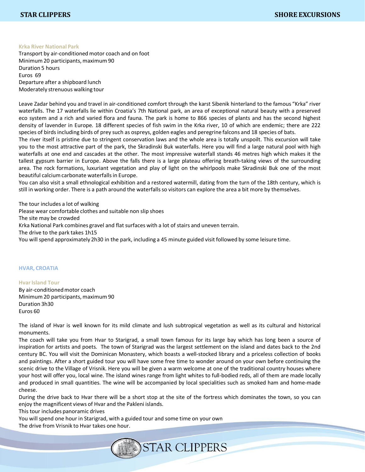#### **Krka River National Park**

Transport by air-conditioned motor coach and on foot Minimum20 participants, maximum 90 Duration 5 hours Euros 69 Departure after a shipboard lunch Moderately strenuous walking tour

Leave Zadar behind you and travel in air-conditioned comfort through the karst Sibenik hinterland to the famous "Krka" river waterfalls. The 17 waterfalls lie within Croatia's 7th National park, an area of exceptional natural beauty with a preserved eco system and a rich and varied flora and fauna. The park is home to 866 species of plants and has the second highest density of lavender in Europe. 18 different species of fish swim in the Krka river, 10 of which are endemic; there are 222 species of birdsincluding birds of prey such as ospreys, golden eagles and peregrine falcons and 18 species of bats.

The river itself is pristine due to stringent conservation laws and the whole area is totally unspoilt. This excursion will take you to the most attractive part of the park, the Skradinski Buk waterfalls. Here you will find a large natural pool with high waterfalls at one end and cascades at the other. The most impressive waterfall stands 46 metres high which makes it the tallest gypsum barrier in Europe. Above the falls there is a large plateau offering breath-taking views of the surrounding area. The rock formations, luxuriant vegetation and play of light on the whirlpools make Skradinski Buk one of the most beautiful calcium carbonate waterfalls in Europe.

You can also visit a small ethnological exhibition and a restored watermill, dating from the turn of the 18th century, which is still in working order. There is a path around the waterfalls so visitors can explore the area a bit more by themselves.

The tour includes a lot of walking Please wear comfortable clothes and suitable non slip shoes The site may be crowded Krka National Park combines gravel and flatsurfaces with a lot of stairs and uneven terrain. The drive to the park takes 1h15 You will spend approximately 2h30 in the park, including a 45 minute guided visit followed by some leisure time.

### **HVAR, CROATIA**

**Hvar Island Tour** By air-conditioned motor coach Minimum20 participants, maximum 90 Duration 3h30 Euros 60

The island of Hvar is well known for its mild climate and lush subtropical vegetation as well as its cultural and historical monuments.

The coach will take you from Hvar to Starigrad, a small town famous for its large bay which has long been a source of inspiration for artists and poets. The town of Starigrad was the largest settlement on the island and dates back to the 2nd century BC. You will visit the Dominican Monastery, which boasts a well-stocked library and a priceless collection of books and paintings. After a short guided tour you will have some free time to wonder around on your own before continuing the scenic drive to the Village of Vrisnik. Here you will be given a warm welcome at one of the traditional country houses where your host will offer you, local wine. The island wines range from light whites to full-bodied reds, all of them are made locally and produced in small quantities. The wine will be accompanied by local specialities such as smoked ham and home-made cheese.

During the drive back to Hvar there will be a short stop at the site of the fortress which dominates the town, so you can enjoy the magnificent views of Hvar and the Pakleni islands.

This tour includes panoramic drives

You will spend one hour in Starigrad, with a guided tour and some time on your own

The drive from Vrisnik to Hvar takes one hour.

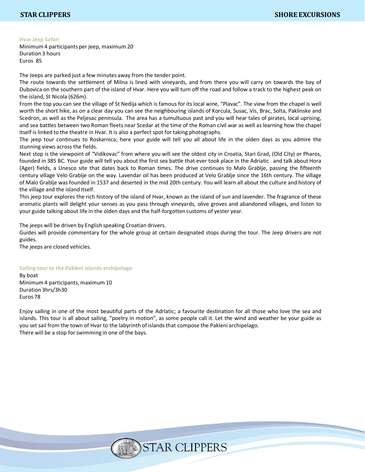# **HvarJeep Safari**

Minimum4 participants per jeep, maximum 20 Duration 3 hours Euros 85

The Jeeps are parked just a few minutes away from the tender point.

The route towards the settlement of Milna is lined with vineyards, and from there you will carry on towards the bay of Dubovica on the southern part of the island of Hvar. Here you will turn off the road and follow a track to the highest peak on the island, St Nicola (626m).

From the top you can see the village of St Nedija which is famous for its local wine, "Plavac". The view from the chapel is well worth the short hike, as on a clear day you can see the neighbouring islands of Korcula, Susac, Vis, Brac, Solta, Paklinske and Scedron, as well as the Peljesac peninsula. The area has a tumultuous past and you will hear tales of pirates, local uprising, and sea battles between two Roman fleets near Scedar at the time of the Roman civil war as well as learning how the chapel itself is linked to the theatre in Hvar. It is also a perfect spot for taking photographs.

The jeep tour continues to Roskarnica; here your guide will tell you all about life in the olden days as you admire the stunning views across the fields.

Next stop is the viewpoint of "Vidikovac" from where you will see the oldest city in Croatia, Stari Grad, (Old City) or Pharos, founded in 385 BC. Your guide will tell you about the first sea battle that ever took place in the Adriatic and talk about Hora (Ager) fields, a Unesco site that dates back to Roman times. The drive continues to Malo Grablje, passing the fifteenth century village Velo Grablje on the way. Lavendar oil has been produced at Velo Grablje since the 16th century. The village of Malo Grablje was founded in 1537 and deserted in the mid 20th century. You will learn all about the culture and history of the village and the island itself.

This jeep tour explores the rich history of the island of Hvar, known as the island of sun and lavender. The fragrance of these aromatic plants will delight your senses as you pass through vineyards, olive groves and abandoned villages, and listen to your guide talking about life in the olden days and the half-forgotten customs of yester year.

The jeeps will be driven by English speaking Croatian drivers.

Guides will provide commentary for the whole group at certain designated stops during the tour. The Jeep drivers are not guides.

The jeeps are closed vehicles.

**Sailing tourto the Pakleni islands archipelago**

By boat Minimum4 participants, maximum 10 Duration 3hrs/3h30 Euros 78

Enjoy sailing in one of the most beautiful parts of the AdrIatic; a favourite destination for all those who love the sea and islands. This tour is all about sailing, "poetry in motion", as some people call it. Let the wind and weather be your guide as you set sail from the town of Hvar to the labyrinth of islands that compose the Pakleni archipelago. There will be a stop for swimming in one of the bays.

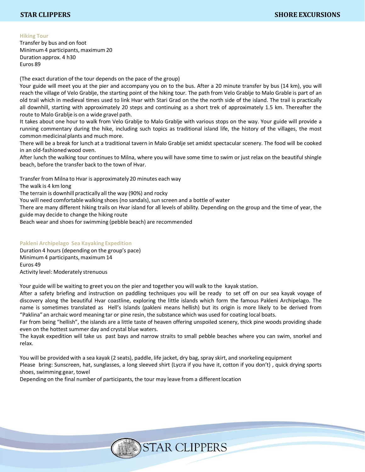# **Hiking Tour**

Transfer by bus and on foot Minimum 4 participants, maximum 20 Duration approx. 4 h30 Euros 89

(The exact duration of the tour depends on the pace of the group)

Your guide will meet you at the pier and accompany you on to the bus. After a 20 minute transfer by bus (14 km), you will reach the village of Velo Grablje, the starting point of the hiking tour. The path from Velo Grablje to Malo Grable is part of an old trail which in medieval times used to link Hvar with Stari Grad on the the north side of the island. The trail is practically all downhill, starting with approximately 20 steps and continuing as a short trek of approximately 1.5 km. Thereafter the route to Malo Grablje is on a wide gravel path.

It takes about one hour to walk from Velo Grablje to Malo Grablje with various stops on the way. Your guide will provide a running commentary during the hike, including such topics as traditional island life, the history of the villages, the most common medicinal plants and much more.

There will be a break for lunch at a traditional tavern in Malo Grablje set amidst spectacular scenery. The food will be cooked in an old-fashionedwood oven.

After lunch the walking tour continues to Milna, where you will have some time to swim or just relax on the beautiful shingle beach, before the transfer back to the town of Hvar.

Transfer from Milna to Hvar is approximately 20 minutes each way

The walk is 4 km long

The terrain is downhill practically all the way (90%) and rocky

You will need comfortable walking shoes (no sandals), sun screen and a bottle of water

There are many different hiking trails on Hvar island for all levels of ability. Depending on the group and the time of year, the guide may decide to change the hiking route

Beach wear and shoes for swimming (pebble beach) are recommended

# **Pakleni Archipelago Sea Kayaking Expedition**

Duration 4 hours (depending on the group's pace) Minimum 4 participants, maximum 14 Euros 49 Activity level: Moderately strenuous

Your guide will be waiting to greet you on the pier and together you will walk to the kayak station.

After a safety briefing and instruction on paddling techniques you will be ready to set off on our sea kayak voyage of discovery along the beautiful Hvar coastline, exploring the little islands which form the famous Pakleni Archipelago. The name is sometimes translated as Hell's Islands (pakleni means hellish) but its origin is more likely to be derived from "Paklina" an archaic word meaning tar or pine resin, the substance which was used for coating local boats.

Far from being "hellish", the islands are a little taste of heaven offering unspoiled scenery, thick pine woods providing shade even on the hottest summer day and crystal blue waters.

The kayak expedition will take us past bays and narrow straits to small pebble beaches where you can swim, snorkel and relax.

You will be provided with a sea kayak (2 seats), paddle, life jacket, dry bag, spray skirt, and snorkeling equipment Please bring: Sunscreen, hat, sunglasses, a long sleeved shirt (Lycra if you have it, cotton if you don't) , quick drying sports shoes, swimming gear, towel

Depending on the final number of participants, the tour may leave from a different location

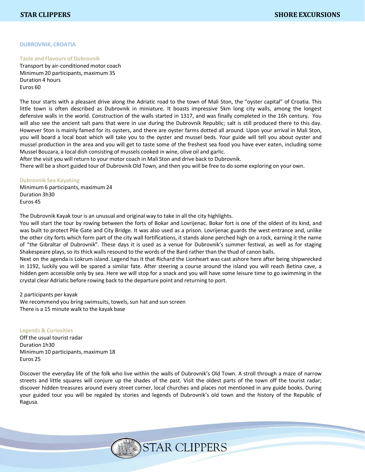#### **DUBROVNIK, CROATIA**

#### **Taste and Flavours of Dubrovnik**

Transport by air-conditioned motor coach Minimum20 participants, maximum 35 Duration 4 hours Euros 60

The tour starts with a pleasant drive along the Adriatic road to the town of Mali Ston, the "oyster capital" of Croatia. This little town is often described as Dubrovnik in miniature. It boasts impressive 5km long city walls, among the longest defensive walls in the world. Construction of the walls started in 1317, and was finally completed in the 16h century. You will also see the ancient salt pans that were in use during the Dubrovnik Republic; salt is still produced there to this day. However Ston is mainly famed for its oysters, and there are oyster farms dotted all around. Upon your arrival in Mali Ston, you will board a local boat which will take you to the oyster and mussel beds. Your guide will tell you about oyster and mussel production in the area and you will get to taste some of the freshest sea food you have ever eaten, including some Mussel Bouzara, a local dish consisting of mussels cooked in wine, olive oil and garlic.

After the visit you will return to your motor coach in Mali Ston and drive back to Dubrovnik.

There will be a short guided tour of Dubrovnik Old Town, and then you will be free to do some exploring on your own.

#### **Dubrovnik Sea Kayaking**

Minimum 6 participants, maximum 24 Duration 3h30 Euros 45

The Dubrovnik Kayak tour is an unusual and original way to take in all the city highlights.

You will start the tour by rowing between the forts of Bokar and Lovrijenac. Bokar fort is one of the oldest of its kind, and was built to protect Pile Gate and City Bridge. It was also used as a prison. Lovrijenac guards the west entrance and, unlike the other city forts which form part of the city wall fortifications, it stands alone perched high on a rock, earning it the name of "the Gibraltar of Dubrovnik". These days it is used as a venue for Dubrovnik's summer festival, as well as for staging Shakespeare plays, so its thick walls resound to the words of the Bard rather than the thud of canon balls.

Next on the agenda is Lokrum island. Legend has it that Richard the Lionheart was cast ashore here after being shipwrecked in 1192, luckily you will be spared a similar fate. After steering a course around the island you will reach Betina cave, a hidden gem accessible only by sea. Here we will stop for a snack and you will have some leisure time to go swimming in the crystal clear Adriatic before rowing back to the departure point and returning to port.

#### 2 participants per kayak

We recommend you bring swimsuits, towels, sun hat and sun screen There is a 15 minute walk to the kayak base

#### **Legends & Curiosities**

Off the usual tourist radar Duration 1h30 Minimum10 participants, maximum 18 Euros 25

Discover the everyday life of the folk who live within the walls of Dubrovnik's Old Town. A stroll through a maze of narrow streets and little squares will conjure up the shades of the past. Visit the oldest parts of the town off the tourist radar; discover hidden treasures around every street corner, local churches and places not mentioned in any guide books. During your guided tour you will be regaled by stories and legends of Dubrovnik's old town and the history of the Republic of Ragusa.

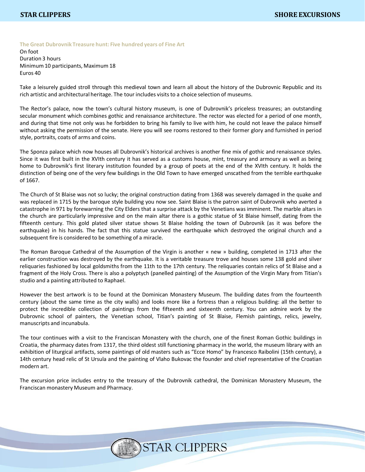**The Great Dubrovnik Treasure hunt: Five hundred years of Fine Art**

On foot Duration 3 hours Minimum10 participants, Maximum 18 Euros 40

Take a leisurely guided stroll through this medieval town and learn all about the history of the Dubrovnic Republic and its rich artistic and architectural heritage. The tour includes visitsto a choice selection of museums.

The Rector's palace, now the town's cultural history museum, is one of Dubrovnik's priceless treasures; an outstanding secular monument which combines gothic and renaissance architecture. The rector was elected for a period of one month, and during that time not only was he forbidden to bring his family to live with him, he could not leave the palace himself without asking the permission of the senate. Here you will see rooms restored to their former glory and furnished in period style, portraits, coats of arms and coins.

The Sponza palace which now houses all Dubrovnik's historical archives is another fine mix of gothic and renaissance styles. Since it was first built in the XVIth century it has served as a customs house, mint, treasury and armoury as well as being home to Dubrovnik's first literary institution founded by a group of poets at the end of the XVIth century. It holds the distinction of being one of the very few buildings in the Old Town to have emerged unscathed from the terrible earthquake of 1667.

The Church of St Blaise was not so lucky; the original construction dating from 1368 was severely damaged in the quake and was replaced in 1715 by the baroque style building you now see. Saint Blaise is the patron saint of Dubrovnik who averted a catastrophe in 971 by forewarning the City Elders that a surprise attack by the Venetians was imminent. The marble altars in the church are particularly impressive and on the main altar there is a gothic statue of St Blaise himself, dating from the fifteenth century. This gold plated silver statue shows St Blaise holding the town of Dubrovnik (as it was before the earthquake) in his hands. The fact that this statue survived the earthquake which destroyed the original church and a subsequent fire is considered to be something of a miracle.

The Roman Baroque Cathedral of the Assumption of the Virgin is another « new » building, completed in 1713 after the earlier construction was destroyed by the earthquake. It is a veritable treasure trove and houses some 138 gold and silver reliquaries fashioned by local goldsmiths from the 11th to the 17th century. The reliquaries contain relics of St Blaise and a fragment of the Holy Cross. There is also a polyptych (panelled painting) of the Assumption of the Virgin Mary from Titian's studio and a painting attributed to Raphael.

However the best artwork is to be found at the Dominican Monastery Museum. The building dates from the fourteenth century (about the same time as the city walls) and looks more like a fortress than a religious building: all the better to protect the incredible collection of paintings from the fifteenth and sixteenth century. You can admire work by the Dubrovnic school of painters, the Venetian school, Titian's painting of St Blaise, Flemish paintings, relics, jewelry, manuscripts and incunabula.

The tour continues with a visit to the Franciscan Monastery with the church, one of the finest Roman Gothic buildings in Croatia, the pharmacy dates from 1317, the third oldest still functioning pharmacy in the world, the museum library with an exhibition of liturgical artifacts, some paintings of old masters such as "Ecce Homo" by Francesco Raibolini (15th century), a 14th century head relic of St Ursula and the painting of Vlaho Bukovac the founder and chief representative of the Croatian modern art.

The excursion price includes entry to the treasury of the Dubrovnik cathedral, the Dominican Monastery Museum, the Franciscan monastery Museum and Pharmacy.

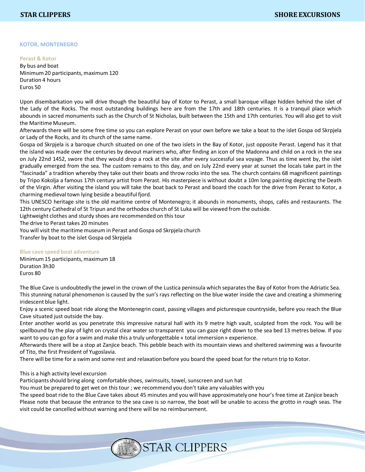#### **KOTOR, MONTENEGRO**

# **Perast & Kotor**

By bus and boat Minimum20 participants, maximum 120 Duration 4 hours Euros 50

Upon disembarkation you will drive though the beautiful bay of Kotor to Perast, a small baroque village hidden behind the islet of the Lady of the Rocks. The most outstanding buildings here are from the 17th and 18th centuries. It is a tranquil place which abounds in sacred monuments such as the Church of St Nicholas, built between the 15th and 17th centuries. You will also get to visit the Maritime Museum.

Afterwards there will be some free time so you can explore Perast on your own before we take a boat to the islet Gospa od Skrpjela or Lady of the Rocks, and its church of the same name.

Gospa od Skrpjela is a baroque church situated on one of the two islets in the Bay of Kotor, just opposite Perast. Legend has it that the island was made over the centuries by devout mariners who, after finding an icon of the Madonna and child on a rock in the sea on July 22nd 1452, swore that they would drop a rock at the site after every successful sea voyage. Thus as time went by, the islet gradually emerged from the sea. The custom remains to this day, and on July 22nd every year at sunset the locals take part in the "fascinada" a tradition whereby they take out their boats and throw rocks into the sea. The church contains 68 magnificent paintings by Tripo Kokolja a famous 17th century artist from Perast. His masterpiece is without doubt a 10m long painting depicting the Death of the Virgin. After visiting the island you will take the boat back to Perast and board the coach for the drive from Perast to Kotor, a charming medieval town lying beside a beautiful fjord.

This UNESCO heritage site is the old maritime centre of Montenegro; it abounds in monuments, shops, cafés and restaurants. The 12th century Cathedral of St Tripun and the orthodox church of St Luka will be viewed from the outside.

Lightweight clothes and sturdy shoes are recommended on this tour

The drive to Perast takes 20 minutes

You will visit the maritime museum in Perast and Gospa od Skrpjela church Transfer by boat to the islet Gospa od Skrpjela

# **Blue cave speed boat adventure**

Minimum 15 participants, maximum 18 Duration 3h30 Euros 80

The Blue Cave is undoubtedly the jewel in the crown of the Lustica peninsula which separatesthe Bay of Kotor from the Adriatic Sea. This stunning natural phenomenon is caused by the sun's rays reflecting on the blue water inside the cave and creating a shimmering iridescent blue light.

Enjoy a scenic speed boat ride along the Montenegrin coast, passing villages and picturesque countryside, before you reach the Blue Cave situated just outside the bay.

Enter another world as you penetrate this impressive natural hall with its 9 metre high vault, sculpted from the rock. You will be spellbound by the play of light on crystal clear water so transparent you can gaze right down to the sea bed 13 metres below. If you want to you can go for a swim and make this a truly unforgettable « total immersion » experience.

Afterwards there will be a stop at Zanjice beach. This pebble beach with its mountain views and sheltered swimming was a favourite of Tito, the first President of Yugoslavia.

There will be time for a swim and some rest and relaxation before you board the speed boat for the return trip to Kotor.

### This is a high activity level excursion

Participants should bring along comfortable shoes, swimsuits, towel, sunscreen and sun hat

You must be prepared to get wet on this tour ; we recommend you don't take any valuables with you

The speed boat ride to the Blue Cave takes about 45 minutes and you will have approximately one hour's free time at Zanjice beach Please note that because the entrance to the sea cave is so narrow, the boat will be unable to access the grotto in rough seas. The visit could be cancelled without warning and there will be no reimbursement.

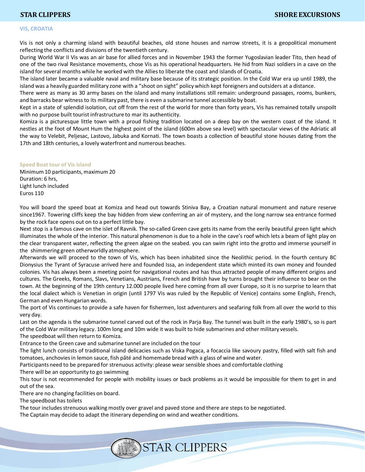# **VIS, CROATIA**

Vis is not only a charming island with beautiful beaches, old stone houses and narrow streets, it is a geopolitical monument reflecting the conflicts and divisions of the twentieth century.

During World War II Vis was an air base for allied forces and in November 1943 the former Yugoslavian leader Tito, then head of one of the two rival Resistance movements, chose Vis as his operational headquarters. He hid from Nazi soldiers in a cave on the island for several months while he worked with the Alliesto liberate the coast and islands of Croatia.

The island later became a valuable naval and military base because of its strategic position. In the Cold War era up until 1989, the island was a heavily guarded military zone with a "shoot on sight" policy which kept foreigners and outsiders at a distance.

There were as many as 30 army bases on the island and many installations still remain: underground passages, rooms, bunkers, and barracks bear witnessto its military past, there is even a submarine tunnel accessible by boat.

Kept in a state of splendid isolation, cut off from the rest of the world for more than forty years, Vis has remained totally unspoilt with no purpose built tourist infrastructure to mar its authenticity.

Komiza is a picturesque little town with a proud fishing tradition located on a deep bay on the western coast of the island. It nestles at the foot of Mount Hum the highest point of the island (600m above sea level) with spectacular views of the Adriatic all the way to Velebit, Peljesac, Lastovo, Jabuka and Kornati. The town boasts a collection of beautiful stone houses dating from the 17th and 18th centuries, a lovely waterfront and numerous beaches.

#### **Speed Boat tour of Vis island**

Minimum10 participants, maximum 20 Duration: 6 hrs, Light lunch included Euros 110

You will board the speed boat at Komiza and head out towards Stiniva Bay, a Croatian natural monument and nature reserve since1967. Towering cliffs keep the bay hidden from view conferring an air of mystery, and the long narrow sea entrance formed by the rock face opens out on to a perfect little bay.

Next stop is a famous cave on the islet of Ravnik. The so-called Green cave gets its name from the eerily beautiful green light which illuminates the whole of the interior. This natural phenomenon is due to a hole in the cave's roof which lets a beam of light play on the clear transparent water, reflecting the green algae on the seabed. you can swim right into the grotto and immerse yourself in the shimmering green otherworldly atmosphere.

Afterwards we will proceed to the town of Vis, which has been inhabited since the Neolithic period. In the fourth century BC Dionysius the Tyrant of Syracuse arrived here and founded Issa, an independent state which minted its own money and founded colonies. Vis has always been a meeting point for navigational routes and has thus attracted people of many different origins and cultures. The Greeks, Romans, Slavs, Venetians, Austrians, French and British have by turns brought their influence to bear on the town. At the beginning of the 19th century 12.000 people lived here coming from all over Europe, so it is no surprise to learn that the local dialect which is Venetian in origin (until 1797 Vis was ruled by the Republic of Venice) contains some English, French, German and even Hungarian words.

The port of Vis continues to provide a safe haven for fishermen, lost adventurers and seafaring folk from all over the world to this very day.

Last on the agenda is the submarine tunnel carved out of the rock in Parja Bay. The tunnel was built in the early 1980's, so is part of the Cold War military legacy. 100m long and 10m wide it was built to hide submarines and other military vessels.

The speedboat will then return to Komiza.

Entrance to the Green cave and submarine tunnel are included on the tour

The light lunch consists of traditional island delicacies such as Viska Pogaca, a focaccia like savoury pastry, filled with salt fish and tomatoes, anchoviesin lemon sauce, fish pâté and homemade bread with a glass of wine and water.

Participants need to be prepared for strenuous activity: please wear sensible shoes and comfortable clothing

There will be an opportunity to go swimming

This tour is not recommended for people with mobility issues or back problems as it would be impossible for them to get in and out of the sea.

There are no changing facilities on board.

The speedboat has toilets

The tour includesstrenuous walking mostly over gravel and paved stone and there are steps to be negotiated.

The Captain may decide to adapt the itinerary depending on wind and weather conditions.

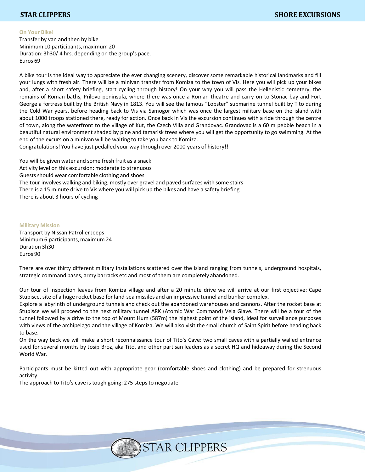### **On Your Bike!**

Transfer by van and then by bike Minimum10 participants, maximum 20 Duration: 3h30/ 4 hrs, depending on the group's pace. Euros 69

A bike tour is the ideal way to appreciate the ever changing scenery, discover some remarkable historical landmarks and fill your lungs with fresh air. There will be a minivan transfer from Komiza to the town of Vis. Here you will pick up your bikes and, after a short safety briefing, start cycling through history! On your way you will pass the Hellenistic cemetery, the remains of Roman baths, Prilovo peninsula, where there was once a Roman theatre and carry on to Stonac bay and Fort George a fortress built by the British Navy in 1813. You will see the famous "Lobster" submarine tunnel built by Tito during the Cold War years, before heading back to Vis via Samogor which was once the largest military base on the island with about 1000 troops stationed there, ready for action. Once back in Vis the excursion continues with a ride through the centre of town, along the waterfront to the village of Kut, the Czech Villa and Grandovac. Grandovac is a 60 m pebble beach in a beautiful natural environment shaded by pine and tamarisk trees where you will get the opportunity to go swimming. At the end of the excursion a minivan will be waiting to take you back to Komiza.

Congratulations! You have just pedalled your way through over 2000 years of history!!

You will be given water and some fresh fruit as a snack Activity level on this excursion: moderate to strenuous Guestsshould wear comfortable clothing and shoes The tour involves walking and biking, mostly over gravel and paved surfaces with some stairs There is a 15 minute drive to Vis where you will pick up the bikes and have a safety briefing There is about 3 hours of cycling

### **Military Mission**

Transport by Nissan Patroller Jeeps Minimum6 participants, maximum 24 Duration 3h30 Euros 90

There are over thirty different military installations scattered over the island ranging from tunnels, underground hospitals, strategic command bases, army barracks etc and most of them are completely abandoned.

Our tour of Inspection leaves from Komiza village and after a 20 minute drive we will arrive at our first objective: Cape Stupisce, site of a huge rocket base for land-sea missiles and an impressive tunnel and bunker complex.

Explore a labyrinth of underground tunnels and check out the abandoned warehouses and cannons. After the rocket base at Stupisce we will proceed to the next military tunnel ARK (Atomic War Command) Vela Glave. There will be a tour of the tunnel followed by a drive to the top of Mount Hum (587m) the highest point of the island, ideal for surveillance purposes with views of the archipelago and the village of Komiza. We will also visit the small church of Saint Spirit before heading back to base.

On the way back we will make a short reconnaissance tour of Tito's Cave: two small caves with a partially walled entrance used for several months by Josip Broz, aka Tito, and other partisan leaders as a secret HQ and hideaway during the Second World War.

Participants must be kitted out with appropriate gear (comfortable shoes and clothing) and be prepared for strenuous activity

The approach to Tito's cave is tough going: 275 steps to negotiate

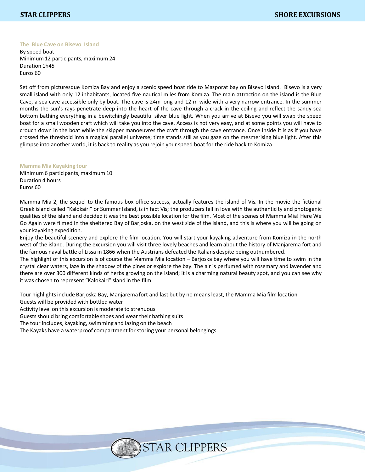### **The Blue Cave on Bisevo Island**

By speed boat Minimum 12 participants, maximum 24 Duration 1h45 Euros 60

Set off from picturesque Komiza Bay and enjoy a scenic speed boat ride to Mazporat bay on Bisevo Island. Bisevo is a very small island with only 12 inhabitants, located five nautical miles from Komiza. The main attraction on the island is the Blue Cave, a sea cave accessible only by boat. The cave is 24m long and 12 m wide with a very narrow entrance. In the summer months the sun's rays penetrate deep into the heart of the cave through a crack in the ceiling and reflect the sandy sea bottom bathing everything in a bewitchingly beautiful silver blue light. When you arrive at Bisevo you will swap the speed boat for a small wooden craft which will take you into the cave. Access is not very easy, and at some points you will have to crouch down in the boat while the skipper manoeuvres the craft through the cave entrance. Once inside it is as if you have crossed the threshold into a magical parallel universe; time stands still as you gaze on the mesmerising blue light. After this glimpse into another world, it is back to reality as you rejoin your speed boat for the ride back to Komiza.

#### **Mamma Mia Kayaking tour**

Minimum 6 participants, maximum 10 Duration 4 hours Euros 60

Mamma Mia 2, the sequel to the famous box office success, actually features the island of Vis. In the movie the fictional Greek island called "Kalokairi" or Summer Island, is in fact Vis; the producers fell in love with the authenticity and photogenic qualities of the island and decided it was the best possible location for the film. Most of the scenes of Mamma Mia! Here We Go Again were filmed in the sheltered Bay of Barjoska, on the west side of the island, and this is where you will be going on your kayaking expedition.

Enjoy the beautiful scenery and explore the film location. You will start your kayaking adventure from Komiza in the north west of the island. During the excursion you will visit three lovely beaches and learn about the history of Manjarema fort and the famous naval battle of Lissa in 1866 when the Austrians defeated the Italians despite being outnumbered.

The highlight of this excursion is of course the Mamma Mia location – Barjoska bay where you will have time to swim in the crystal clear waters, laze in the shadow of the pines or explore the bay. The air is perfumed with rosemary and lavender and there are over 300 different kinds of herbs growing on the island; it is a charming natural beauty spot, and you can see why it was chosen to represent "Kalokairi" island in the film.

Tour highlightsinclude Barjoska Bay, Manjarema fort and last but by no meansleast, the Mamma Mia film location Guests will be provided with bottled water

Activity level on this excursion is moderate to strenuous

Guests should bring comfortable shoes and wear their bathing suits

The tour includes, kayaking, swimming and lazing on the beach

The Kayaks have a waterproof compartment for storing your personal belongings.